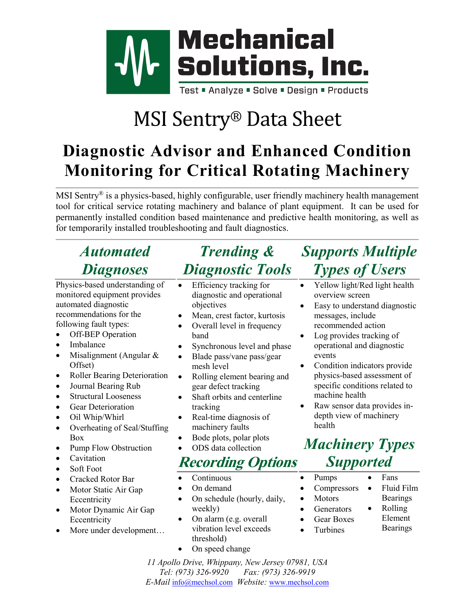

## MSI Sentry® Data Sheet

## **Diagnostic Advisor and Enhanced Condition Monitoring for Critical Rotating Machinery**

MSI Sentry<sup>®</sup> is a physics-based, highly configurable, user friendly machinery health management tool for critical service rotating machinery and balance of plant equipment. It can be used for permanently installed condition based maintenance and predictive health monitoring, as well as for temporarily installed troubleshooting and fault diagnostics.

## *Automated Diagnoses*

Physics-based understanding of monitored equipment provides automated diagnostic recommendations for the following fault types:

- Off-BEP Operation
- **Imbalance**
- Misalignment (Angular & Offset)
- Roller Bearing Deterioration
- Journal Bearing Rub
- Structural Looseness
- Gear Deterioration
- Oil Whip/Whirl
- Overheating of Seal/Stuffing Box
- Pump Flow Obstruction
- Cavitation
- Soft Foot
- Cracked Rotor Bar
- Motor Static Air Gap **Eccentricity**
- Motor Dynamic Air Gap **Eccentricity**
- More under development...

## *Trending & Diagnostic Tools*

- Efficiency tracking for diagnostic and operational objectives
- Mean, crest factor, kurtosis
- Overall level in frequency band
- Synchronous level and phase
- Blade pass/vane pass/gear mesh level
- Rolling element bearing and gear defect tracking
- Shaft orbits and centerline tracking
- Real-time diagnosis of machinery faults
- Bode plots, polar plots
- ODS data collection

#### **Recording Options**

- Continuous
- On demand
- On schedule (hourly, daily, weekly)
- On alarm (e.g. overall vibration level exceeds threshold)
- On speed change

## *Supports Multiple Types of Users*

- Yellow light/Red light health overview screen
- Easy to understand diagnostic messages, include recommended action
- Log provides tracking of operational and diagnostic events
- Condition indicators provide physics-based assessment of specific conditions related to machine health
- Raw sensor data provides indepth view of machinery health

#### *Machinery Types Supported*

- Pumps
- Compressors
- Motors
	- **Generators**
- Gear Boxes
- Turbines
- Fluid Film Bearings • Rolling

• Fans

- Element Bearings
- 

*11 Apollo Drive, Whippany, New Jersey 07981, USA Tel: (973) 326-9920 Fax: (973) 326-9919 E-Mail* [info@mechsol.com](mailto:info@mechsol.com) *Website:* [www.mechsol.com](http://www.mechsol.com/)